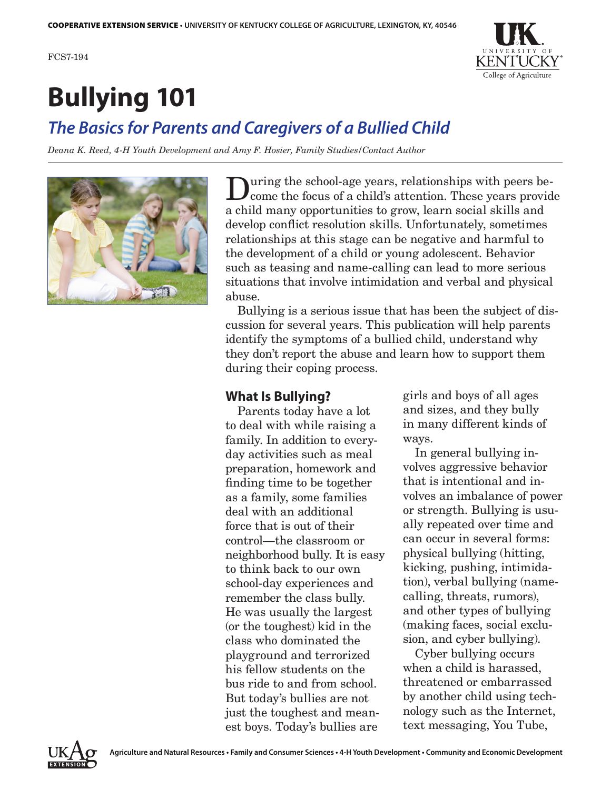

# **Bullying 101**

# *The Basics for Parents and Caregivers of a Bullied Child*

*Deana K. Reed, 4-H Youth Development and Amy F. Hosier, Family Studies/Contact Author*



During the school-age years, relationships with peers become the focus of a child's attention. These years provide a child many opportunities to grow, learn social skills and develop conflict resolution skills. Unfortunately, sometimes relationships at this stage can be negative and harmful to the development of a child or young adolescent. Behavior such as teasing and name-calling can lead to more serious situations that involve intimidation and verbal and physical abuse.

Bullying is a serious issue that has been the subject of discussion for several years. This publication will help parents identify the symptoms of a bullied child, understand why they don't report the abuse and learn how to support them during their coping process.

# **What Is Bullying?**

Parents today have a lot to deal with while raising a family. In addition to everyday activities such as meal preparation, homework and finding time to be together as a family, some families deal with an additional force that is out of their control—the classroom or neighborhood bully. It is easy to think back to our own school-day experiences and remember the class bully. He was usually the largest (or the toughest) kid in the class who dominated the playground and terrorized his fellow students on the bus ride to and from school. But today's bullies are not just the toughest and meanest boys. Today's bullies are

girls and boys of all ages and sizes, and they bully in many different kinds of ways.

In general bullying involves aggressive behavior that is intentional and involves an imbalance of power or strength. Bullying is usually repeated over time and can occur in several forms: physical bullying (hitting, kicking, pushing, intimidation), verbal bullying (namecalling, threats, rumors), and other types of bullying (making faces, social exclusion, and cyber bullying).

Cyber bullying occurs when a child is harassed, threatened or embarrassed by another child using technology such as the Internet, text messaging, You Tube,

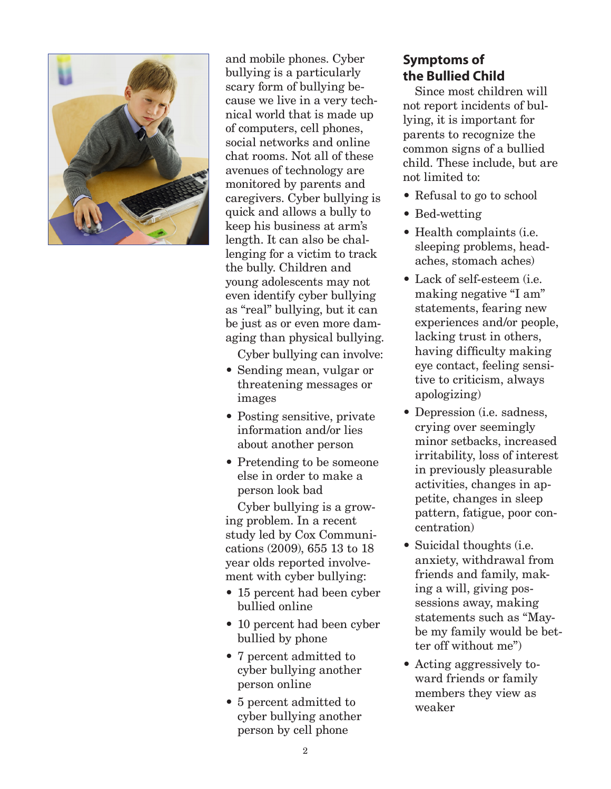

and mobile phones. Cyber bullying is a particularly scary form of bullying because we live in a very technical world that is made up of computers, cell phones, social networks and online chat rooms. Not all of these avenues of technology are monitored by parents and caregivers. Cyber bullying is quick and allows a bully to keep his business at arm's length. It can also be challenging for a victim to track the bully. Children and young adolescents may not even identify cyber bullying as "real" bullying, but it can be just as or even more damaging than physical bullying.

Cyber bullying can involve:

- Sending mean, vulgar or threatening messages or images
- Posting sensitive, private information and/or lies about another person
- Pretending to be someone else in order to make a person look bad

Cyber bullying is a growing problem. In a recent study led by Cox Communications (2009), 655 13 to 18 year olds reported involvement with cyber bullying:

- 15 percent had been cyber bullied online
- 10 percent had been cyber bullied by phone
- 7 percent admitted to cyber bullying another person online
- 5 percent admitted to cyber bullying another person by cell phone

# **Symptoms of the Bullied Child**

Since most children will not report incidents of bullying, it is important for parents to recognize the common signs of a bullied child. These include, but are not limited to:

- Refusal to go to school
- Bed-wetting
- Health complaints (i.e. sleeping problems, headaches, stomach aches)
- Lack of self-esteem (i.e. making negative "I am" statements, fearing new experiences and/or people, lacking trust in others, having difficulty making eye contact, feeling sensitive to criticism, always apologizing)
- Depression (i.e. sadness, crying over seemingly minor setbacks, increased irritability, loss of interest in previously pleasurable activities, changes in appetite, changes in sleep pattern, fatigue, poor concentration)
- Suicidal thoughts (*i.e.*) anxiety, withdrawal from friends and family, making a will, giving possessions away, making statements such as "Maybe my family would be better off without me")
- Acting aggressively toward friends or family members they view as weaker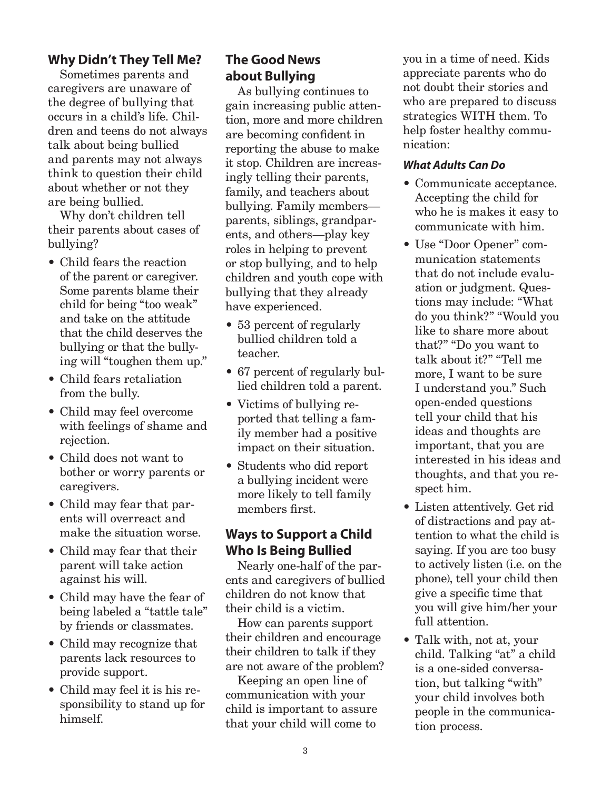# **Why Didn't They Tell Me?**

Sometimes parents and caregivers are unaware of the degree of bullying that occurs in a child's life. Children and teens do not always talk about being bullied and parents may not always think to question their child about whether or not they are being bullied.

Why don't children tell their parents about cases of bullying?

- Child fears the reaction of the parent or caregiver. Some parents blame their child for being "too weak" and take on the attitude that the child deserves the bullying or that the bullying will "toughen them up."
- Child fears retaliation from the bully.
- Child may feel overcome with feelings of shame and rejection.
- Child does not want to bother or worry parents or caregivers.
- Child may fear that parents will overreact and make the situation worse.
- Child may fear that their parent will take action against his will.
- Child may have the fear of being labeled a "tattle tale" by friends or classmates.
- Child may recognize that parents lack resources to provide support.
- Child may feel it is his responsibility to stand up for himself.

# **The Good News about Bullying**

As bullying continues to gain increasing public attention, more and more children are becoming confident in reporting the abuse to make it stop. Children are increasingly telling their parents, family, and teachers about bullying. Family members parents, siblings, grandparents, and others—play key roles in helping to prevent or stop bullying, and to help children and youth cope with bullying that they already have experienced.

- 53 percent of regularly bullied children told a teacher.
- 67 percent of regularly bullied children told a parent.
- Victims of bullying reported that telling a family member had a positive impact on their situation.
- Students who did report a bullying incident were more likely to tell family members first.

# **Ways to Support a Child Who Is Being Bullied**

Nearly one-half of the parents and caregivers of bullied children do not know that their child is a victim.

How can parents support their children and encourage their children to talk if they are not aware of the problem?

Keeping an open line of communication with your child is important to assure that your child will come to

you in a time of need. Kids appreciate parents who do not doubt their stories and who are prepared to discuss strategies WITH them. To help foster healthy communication:

### *What Adults Can Do*

- Communicate acceptance. Accepting the child for who he is makes it easy to communicate with him.
- Use "Door Opener" communication statements that do not include evaluation or judgment. Questions may include: "What do you think?" "Would you like to share more about that?" "Do you want to talk about it?" "Tell me more, I want to be sure I understand you." Such open-ended questions tell your child that his ideas and thoughts are important, that you are interested in his ideas and thoughts, and that you respect him.
- Listen attentively. Get rid of distractions and pay attention to what the child is saying. If you are too busy to actively listen (i.e. on the phone), tell your child then give a specific time that you will give him/her your full attention.
- Talk with, not at, your child. Talking "at" a child is a one-sided conversation, but talking "with" your child involves both people in the communication process.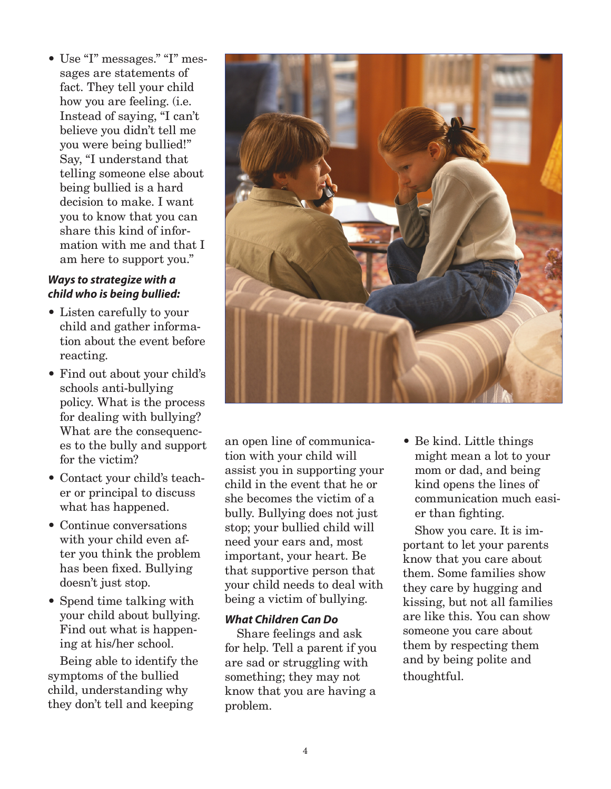• Use "I" messages." "I" messages are statements of fact. They tell your child how you are feeling. (i.e. Instead of saying, "I can't believe you didn't tell me you were being bullied!" Say, "I understand that telling someone else about being bullied is a hard decision to make. I want you to know that you can share this kind of information with me and that I am here to support you."

#### *Ways to strategize with a child who is being bullied:*

- Listen carefully to your child and gather information about the event before reacting.
- Find out about your child's schools anti-bullying policy. What is the process for dealing with bullying? What are the consequences to the bully and support for the victim?
- Contact your child's teacher or principal to discuss what has happened.
- Continue conversations with your child even after you think the problem has been fixed. Bullying doesn't just stop.
- Spend time talking with your child about bullying. Find out what is happening at his/her school.

Being able to identify the symptoms of the bullied child, understanding why they don't tell and keeping



an open line of communication with your child will assist you in supporting your child in the event that he or she becomes the victim of a bully. Bullying does not just stop; your bullied child will need your ears and, most important, your heart. Be that supportive person that your child needs to deal with being a victim of bullying.

#### *What Children Can Do*

Share feelings and ask for help. Tell a parent if you are sad or struggling with something; they may not know that you are having a problem.

• Be kind. Little things might mean a lot to your mom or dad, and being kind opens the lines of communication much easier than fighting.

Show you care. It is important to let your parents know that you care about them. Some families show they care by hugging and kissing, but not all families are like this. You can show someone you care about them by respecting them and by being polite and thoughtful.